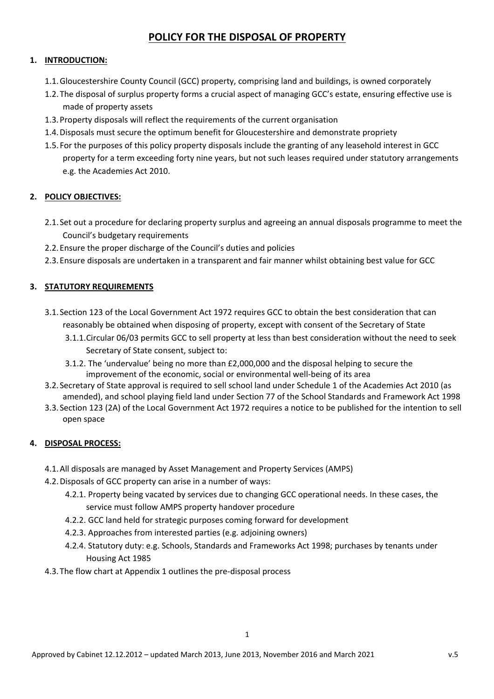# **POLICY FOR THE DISPOSAL OF PROPERTY**

### **1. INTRODUCTION:**

- 1.1.Gloucestershire County Council (GCC) property, comprising land and buildings, is owned corporately
- 1.2.The disposal of surplus property forms a crucial aspect of managing GCC's estate, ensuring effective use is made of property assets
- 1.3.Property disposals will reflect the requirements of the current organisation
- 1.4.Disposals must secure the optimum benefit for Gloucestershire and demonstrate propriety
- 1.5. For the purposes of this policy property disposals include the granting of any leasehold interest in GCC property for a term exceeding forty nine years, but not such leases required under statutory arrangements e.g. the Academies Act 2010.

# **2. POLICY OBJECTIVES:**

- 2.1. Set out a procedure for declaring property surplus and agreeing an annual disposals programme to meet the Council's budgetary requirements
- 2.2.Ensure the proper discharge of the Council's duties and policies
- 2.3.Ensure disposals are undertaken in a transparent and fair manner whilst obtaining best value for GCC

### **3. STATUTORY REQUIREMENTS**

- 3.1. Section 123 of the Local Government Act 1972 requires GCC to obtain the best consideration that can reasonably be obtained when disposing of property, except with consent of the Secretary of State
	- 3.1.1.Circular 06/03 permits GCC to sell property at less than best consideration without the need to seek Secretary of State consent, subject to:
	- 3.1.2. The 'undervalue' being no more than £2,000,000 and the disposal helping to secure the improvement of the economic, social or environmental well-being of its area
- 3.2. Secretary of State approval is required to sell school land under Schedule 1 of the Academies Act 2010 (as amended), and school playing field land under Section 77 of the School Standards and Framework Act 1998
- 3.3. Section 123 (2A) of the Local Government Act 1972 requires a notice to be published for the intention to sell open space

# **4. DISPOSAL PROCESS:**

- 4.1.All disposals are managed by Asset Management and Property Services (AMPS)
- 4.2.Disposals of GCC property can arise in a number of ways:
	- 4.2.1. Property being vacated by services due to changing GCC operational needs. In these cases, the service must follow AMPS property handover procedure
	- 4.2.2. GCC land held for strategic purposes coming forward for development
	- 4.2.3. Approaches from interested parties (e.g. adjoining owners)
	- 4.2.4. Statutory duty: e.g. Schools, Standards and Frameworks Act 1998; purchases by tenants under Housing Act 1985
- 4.3.The flow chart at Appendix 1 outlines the pre‐disposal process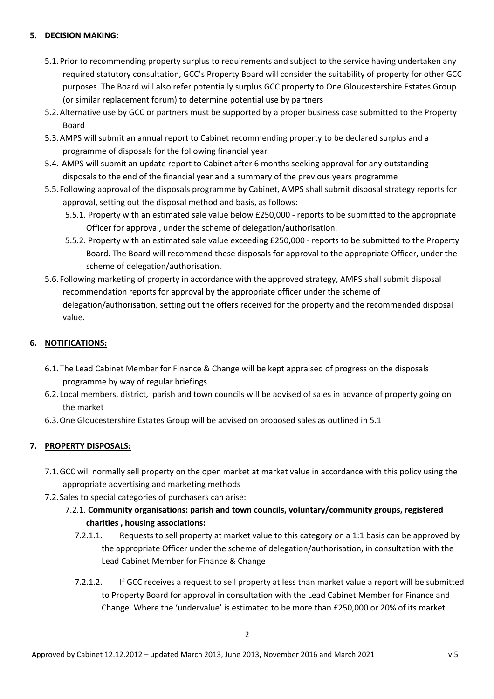#### **5. DECISION MAKING:**

- 5.1.Prior to recommending property surplus to requirements and subject to the service having undertaken any required statutory consultation, GCC's Property Board will consider the suitability of property for other GCC purposes. The Board will also refer potentially surplus GCC property to One Gloucestershire Estates Group (or similar replacement forum) to determine potential use by partners
- 5.2.Alternative use by GCC or partners must be supported by a proper business case submitted to the Property Board
- 5.3.AMPS will submit an annual report to Cabinet recommending property to be declared surplus and a programme of disposals for the following financial year
- 5.4. AMPS will submit an update report to Cabinet after 6 months seeking approval for any outstanding disposals to the end of the financial year and a summary of the previous years programme
- 5.5. Following approval of the disposals programme by Cabinet, AMPS shall submit disposal strategy reports for approval, setting out the disposal method and basis, as follows:
	- 5.5.1. Property with an estimated sale value below £250,000 ‐ reports to be submitted to the appropriate Officer for approval, under the scheme of delegation/authorisation.
	- 5.5.2. Property with an estimated sale value exceeding £250,000 ‐ reports to be submitted to the Property Board. The Board will recommend these disposals for approval to the appropriate Officer, under the scheme of delegation/authorisation.
- 5.6. Following marketing of property in accordance with the approved strategy, AMPS shall submit disposal recommendation reports for approval by the appropriate officer under the scheme of delegation/authorisation, setting out the offers received for the property and the recommended disposal value.

#### **6. NOTIFICATIONS:**

- 6.1.The Lead Cabinet Member for Finance & Change will be kept appraised of progress on the disposals programme by way of regular briefings
- 6.2. Local members, district, parish and town councils will be advised of sales in advance of property going on the market
- 6.3.One Gloucestershire Estates Group will be advised on proposed sales as outlined in 5.1

#### **7. PROPERTY DISPOSALS:**

- 7.1.GCC will normally sell property on the open market at market value in accordance with this policy using the appropriate advertising and marketing methods
- 7.2. Sales to special categories of purchasers can arise:
	- 7.2.1. **Community organisations: parish and town councils, voluntary/community groups, registered charities , housing associations:**
		- 7.2.1.1. Requests to sell property at market value to this category on a 1:1 basis can be approved by the appropriate Officer under the scheme of delegation/authorisation, in consultation with the Lead Cabinet Member for Finance & Change
		- 7.2.1.2. If GCC receives a request to sell property at less than market value a report will be submitted to Property Board for approval in consultation with the Lead Cabinet Member for Finance and Change. Where the 'undervalue' is estimated to be more than £250,000 or 20% of its market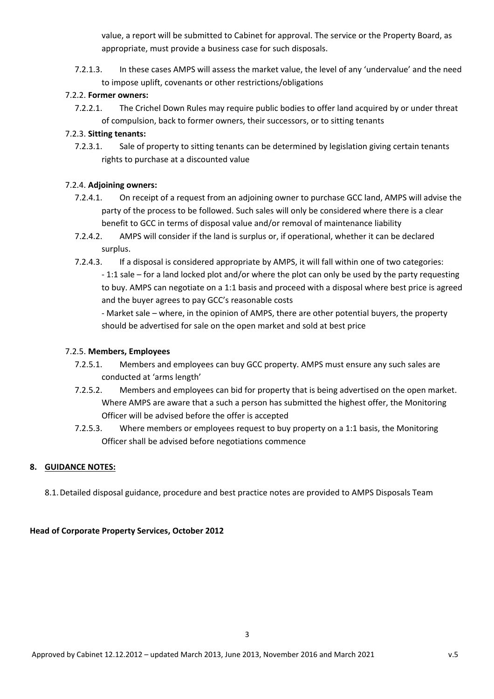value, a report will be submitted to Cabinet for approval. The service or the Property Board, as appropriate, must provide a business case for such disposals.

7.2.1.3. In these cases AMPS will assess the market value, the level of any 'undervalue' and the need to impose uplift, covenants or other restrictions/obligations

### 7.2.2. **Former owners:**

7.2.2.1. The Crichel Down Rules may require public bodies to offer land acquired by or under threat of compulsion, back to former owners, their successors, or to sitting tenants

### 7.2.3. **Sitting tenants:**

7.2.3.1. Sale of property to sitting tenants can be determined by legislation giving certain tenants rights to purchase at a discounted value

#### 7.2.4. **Adjoining owners:**

- 7.2.4.1. On receipt of a request from an adjoining owner to purchase GCC land, AMPS will advise the party of the process to be followed. Such sales will only be considered where there is a clear benefit to GCC in terms of disposal value and/or removal of maintenance liability
- 7.2.4.2. AMPS will consider if the land is surplus or, if operational, whether it can be declared surplus.
- 7.2.4.3. If a disposal is considered appropriate by AMPS, it will fall within one of two categories: ‐ 1:1 sale – for a land locked plot and/or where the plot can only be used by the party requesting to buy. AMPS can negotiate on a 1:1 basis and proceed with a disposal where best price is agreed and the buyer agrees to pay GCC's reasonable costs

‐ Market sale – where, in the opinion of AMPS, there are other potential buyers, the property should be advertised for sale on the open market and sold at best price

#### 7.2.5. **Members, Employees**

- 7.2.5.1. Members and employees can buy GCC property. AMPS must ensure any such sales are conducted at 'arms length'
- 7.2.5.2. Members and employees can bid for property that is being advertised on the open market. Where AMPS are aware that a such a person has submitted the highest offer, the Monitoring Officer will be advised before the offer is accepted
- 7.2.5.3. Where members or employees request to buy property on a 1:1 basis, the Monitoring Officer shall be advised before negotiations commence

#### **8. GUIDANCE NOTES:**

8.1.Detailed disposal guidance, procedure and best practice notes are provided to AMPS Disposals Team

#### **Head of Corporate Property Services, October 2012**